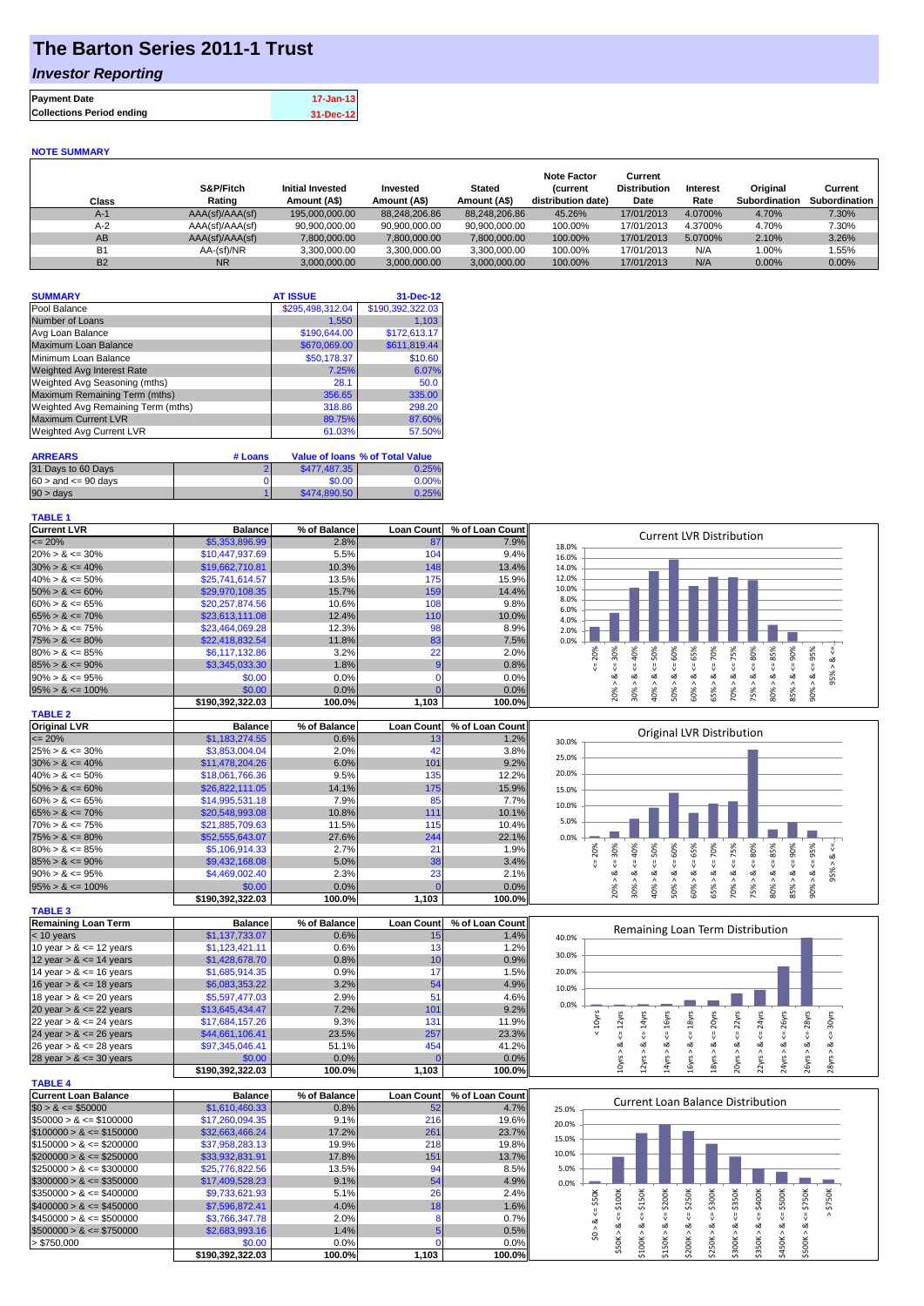## **The Barton Series 2011-1 Trust**

### *Investor Reporting*

| <b>Payment Date</b>              | 17-Jan-13 |
|----------------------------------|-----------|
| <b>Collections Period ending</b> | 31-Dec-12 |

#### **NOTE SUMMARY**

| Class          | S&P/Fitch<br>Rating | <b>Initial Invested</b><br>Amount (A\$) | Invested<br>Amount (A\$) | <b>Stated</b><br>Amount (A\$) | <b>Note Factor</b><br><b>Current</b><br>distribution date) | Current<br><b>Distribution</b><br>Date | Interest<br>Rate | Original<br>Subordination | Current<br>Subordination |
|----------------|---------------------|-----------------------------------------|--------------------------|-------------------------------|------------------------------------------------------------|----------------------------------------|------------------|---------------------------|--------------------------|
| $A-1$          | AAA(sf)/AAA(sf)     | 195,000,000,00                          | 88.248.206.86            | 88.248.206.86                 | 45.26%                                                     | 17/01/2013                             | 4.0700%          | 4.70%                     | 7.30%                    |
| $A-2$          | AAA(sf)/AAA(sf)     | 90.900.000.00                           | 90.900.000.00            | 90.900.000.00                 | 100.00%                                                    | 17/01/2013                             | 4.3700%          | 4.70%                     | 7.30%                    |
| AB             | AAA(sf)/AAA(sf)     | 7,800,000.00                            | 7,800,000.00             | 7,800,000.00                  | 100.00%                                                    | 17/01/2013                             | 5.0700%          | 2.10%                     | 3.26%                    |
| B <sub>1</sub> | AA-(sf)/NR          | 3.300.000.00                            | 3.300.000.00             | 3.300.000.00                  | 100.00%                                                    | 17/01/2013                             | N/A              | $0.00\%$                  | 1.55%                    |
| <b>B2</b>      | <b>NR</b>           | 3.000.000.00                            | 3.000.000.00             | 3.000.000.00                  | 100.00%                                                    | 17/01/2013                             | N/A              | $0.00\%$                  | $0.00\%$                 |

| <b>SUMMARY</b>                     | <b>AT ISSUE</b>  | 31-Dec-12        |
|------------------------------------|------------------|------------------|
| Pool Balance                       | \$295,498,312.04 | \$190,392,322.03 |
| Number of Loans                    | 1,550            | 1,103            |
| Avg Loan Balance                   | \$190,644.00     | \$172,613.17     |
| Maximum Loan Balance               | \$670,069.00     | \$611,819.44     |
| Minimum Loan Balance               | \$50,178.37      | \$10.60          |
| <b>Weighted Avg Interest Rate</b>  | 7.25%            | 6.07%            |
| Weighted Avg Seasoning (mths)      | 28.1             | 50.0             |
| Maximum Remaining Term (mths)      | 356.65           | 335.00           |
| Weighted Avg Remaining Term (mths) | 318.86           | 298.20           |
| <b>Maximum Current LVR</b>         | 89.75%           | 87.60%           |
| Weighted Avg Current LVR           | 61.03%           | 57.50%           |

| <b>ARREARS</b>            | # Loans |              | Value of Ioans % of Total Value |
|---------------------------|---------|--------------|---------------------------------|
| 31 Days to 60 Days        |         | \$477,487,35 | 0.25%                           |
| $60 >$ and $\leq 90$ days |         | \$0.00       | 0.00%                           |
| $90 > \text{days}$        |         | \$474,890.50 | 0.25%                           |

#### **TABLE 1**

| <b>Current LVR</b>   | <b>Balance</b>   | % of Balance | <b>Loan Countl</b> | % of Loan Count | <b>Current LVR Distribution</b>                                                  |
|----------------------|------------------|--------------|--------------------|-----------------|----------------------------------------------------------------------------------|
| $\leq$ 20%           | \$5,353,896.99   | $2.8\%$      | 87                 | 7.9%            | 18.0%                                                                            |
| $20\% > 8 \le 30\%$  | \$10,447,937.69  | 5.5%         | 104                | 9.4%            | 16.0%                                                                            |
| $30\% > 8 \le 40\%$  | \$19,662,710.81  | 10.3%        | 148                | 13.4%           | 14.0%                                                                            |
| $40\% > 8 \le 50\%$  | \$25.741.614.57  | 13.5%        | 175                | 15.9%           | 12.0%                                                                            |
| $50\% > 8 \le 60\%$  | \$29,970,108.35  | 15.7%        | 159                | 14.4%           | 10.0%                                                                            |
| $60\% > 8 \le 65\%$  | \$20,257,874.56  | 10.6%        | 108                | 9.8%            | 8.0%<br>6.0%                                                                     |
| $65\% > 8 \le 70\%$  | \$23,613,111.08  | 12.4%        | 110                | 10.0%           | 4.0%                                                                             |
| $70\% > 8 \le 75\%$  | \$23,464,069.28  | 12.3%        | 98                 | 8.9%            | 2.0%                                                                             |
| $75\% > 8 \le 80\%$  | \$22,418,832.54  | 11.8%        | 83                 | 7.5%            | 0.0%                                                                             |
| $80\% > 8 \le 85\%$  | \$6,117,132.86   | 3.2%         | 22                 | 2.0%            | 20%<br>50%<br>℅<br>70%<br>╳<br>Ĥ.<br>င္တ<br>Ò<br>Ò                               |
| $85\% > 8 \le 90\%$  | \$3,345,033.30   | 1.8%         |                    | 0.8%            |                                                                                  |
| $90\% > 8 \le 95\%$  | \$0.00           | 0.0%         |                    | 0.0%            | ∞                                                                                |
| $95\% > 8 \le 100\%$ | \$0.00           | $0.0\%$      |                    | 0.0%            | ఠ<br>ఠ<br>ñ<br>္တိ<br>ຮັ<br>္တိ<br>ຮັ<br>ŝ                                       |
|                      | \$190,392,322.03 | 100.0%       | 1,103              | 100.0%          | ıñ<br>$\overline{0}$<br>$\infty$<br>$\bar{N}$<br>$\bar{\infty}$<br>∼<br>$\sigma$ |
| <b>TABLE O</b>       |                  |              |                    |                 |                                                                                  |

| <b>TABLE 2</b>       |                  |              |                   |                 |       |                                                                                          |
|----------------------|------------------|--------------|-------------------|-----------------|-------|------------------------------------------------------------------------------------------|
| <b>Original LVR</b>  | <b>Balance</b>   | % of Balance | <b>Loan Count</b> | % of Loan Count |       | Original LVR Distribution                                                                |
| $\leq$ 20%           | \$1,183,274,55   | 0.6%         | 13                | 1.2%            | 30.0% |                                                                                          |
| $25\% > 8 \le 30\%$  | \$3,853,004.04   | 2.0%         | 42                | 3.8%            | 25.0% |                                                                                          |
| $30\% > 8 \le 40\%$  | \$11,478,204.26  | 6.0%         | 101               | 9.2%            |       |                                                                                          |
| $40\% > 8 \le 50\%$  | \$18,061,766.36  | 9.5%         | 135               | 12.2%           | 20.0% |                                                                                          |
| $50\% > 8 \le 60\%$  | \$26,822,111.05  | 14.1%        | 175               | 15.9%           | 15.0% |                                                                                          |
| $60\% > 8 \le 65\%$  | \$14,995,531.18  | 7.9%         | 85                | 7.7%            | 10.0% |                                                                                          |
| $65\% > 8 \le 70\%$  | \$20,548,993,08  | 10.8%        | 111               | 10.1%           |       |                                                                                          |
| $70\% > 8 \le 75\%$  | \$21,885,709.63  | 11.5%        | 115               | $10.4\%$        | 5.0%  |                                                                                          |
| $75\% > 8 \le 80\%$  | \$52,555,643,07  | 27.6%        | 244               | 22.1%           | 0.0%  |                                                                                          |
| $80\% > 8 \le 85\%$  | \$5,106,914,33   | 2.7%         | 21                | 1.9%            |       | $^{86}$<br>20%<br>30%<br>℅<br>℅<br>≫<br>70%<br>75%<br>æ<br>െ<br>S.<br>Š<br>ė8<br>8<br>59 |
| $85\% > 8 \le 90\%$  | \$9,432,168,08   | 5.0%         | 38                | 3.4%            |       |                                                                                          |
| $90\% > 8 \le 95\%$  | \$4,469,002.40   | 2.3%         | 23                | 2.1%            |       | ∞<br>∞<br>∞<br>∞<br>∞<br>œ                                                               |
| $95\% > 8 \le 100\%$ | \$0.00           | 0.0%         |                   | 0.0%            |       | 80%<br>္တိ<br>70%<br>∝<br>85%<br>ŝ<br>20%<br>ð<br>∘<br>ūn.<br>∘                          |
|                      | \$190.392.322.03 | 100.0%       | 1.103             | 100.0%          |       | Š<br>$\overline{5}$<br>÷<br>$\sim$<br>$\sim$                                             |

| <b>TABLE 3</b>             |                  |              |                   |                 |
|----------------------------|------------------|--------------|-------------------|-----------------|
| <b>Remaining Loan Term</b> | <b>Balance</b>   | % of Balance | <b>Loan Count</b> | % of Loan Count |
| $< 10$ years               | \$1,137,733.07   | 0.6%         | 15                | 1.4%            |
| 10 year $> 8 \le 12$ years | \$1,123,421.11   | 0.6%         | 13                | 1.2%            |
| 12 year $> 8 \le 14$ years | \$1,428,678.70   | 0.8%         | 10                | 0.9%            |
| 14 year $> 8 \le 16$ years | \$1,685,914.35   | 0.9%         | 17                | 1.5%            |
| 16 year $> 8 \le 18$ years | \$6,083,353.22   | 3.2%         | 54                | 4.9%            |
| 18 year $> 8 \le 20$ years | \$5,597,477.03   | 2.9%         | 51                | 4.6%            |
| 20 year $> 8 \le 22$ years | \$13,645,434.47  | 7.2%         | 101               | 9.2%            |
| 22 year $> 8 \le 24$ years | \$17,684,157.26  | 9.3%         | 131               | 11.9%           |
| 24 year $> 8 \le 26$ years | \$44,661,106.41  | 23.5%        | 257               | 23.3%           |
| 26 year $> 8 \le 28$ years | \$97,345,046.41  | 51.1%        | 454               | 41.2%           |
| 28 year $> 8 \le 30$ years | \$0.00           | 0.0%         |                   | 0.0%            |
|                            | \$190.392.322.03 | 100.0%       | 1.103             | 100.0%l         |

| <b>TABLE 4</b>               |                  |              |                    |                 |
|------------------------------|------------------|--------------|--------------------|-----------------|
| Current Loan Balance         | <b>Balance</b>   | % of Balance | <b>Loan Countl</b> | % of Loan Count |
| $$0 > 8 \leq $50000$         | \$1,610,460,33   | 0.8%         | 52                 | 4.7%            |
| $$50000 > 8 \leq $100000$    | \$17,260,094.35  | 9.1%         | 216                | 19.6%           |
| $$100000 > 8 \leq $150000$   | \$32,663,466.24  | 17.2%        | 261                | 23.7%           |
| $$150000 > 8 \leq $200000$   | \$37.958.283.13  | 19.9%        | 218                | 19.8%           |
| $$200000 > 8 \leq $250000$   | \$33,932,831.91  | 17.8%        | 151                | 13.7%           |
| $$250000 > 8 \leq $300000$   | \$25,776,822.56  | 13.5%        | 94                 | 8.5%            |
| $$300000 > 8 \leq $350000$   | \$17,409,528.23  | 9.1%         | 54                 | 4.9%            |
| $\$350000 > 8 \leq \$400000$ | \$9.733,621.93   | 5.1%         | 26                 | 2.4%            |
| $$400000 > 8 \leq $450000$   | \$7,596,872.41   | 4.0%         | 18                 | 1.6%            |
| $$450000 > 8 \leq $500000$   | \$3.766,347.78   | 2.0%         | 8                  | 0.7%            |
| $$500000 > 8 \leq $750000$   | \$2,683,993.16   | 1.4%         |                    | 0.5%            |
| > \$750,000                  | \$0.00           | 0.0%         |                    | 0.0%            |
|                              | \$190.392.322.03 | 100.0%       | 1.103              | 100.0%          |